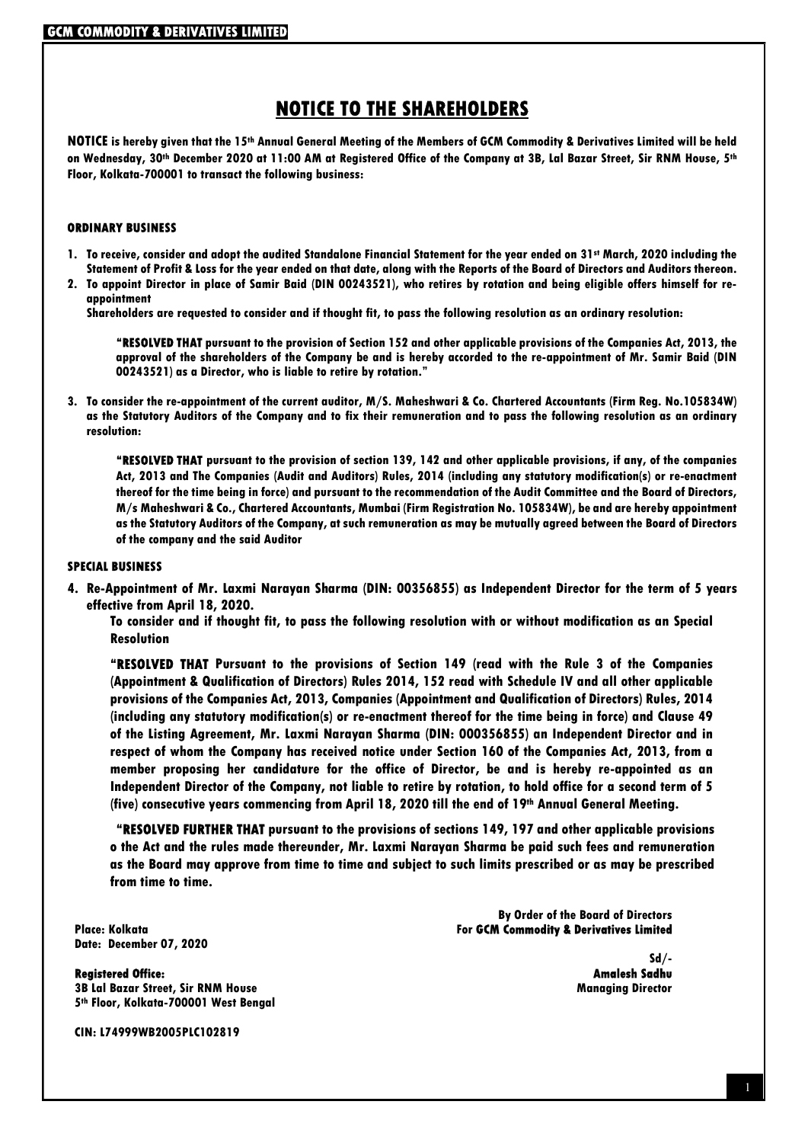### NOTICE TO THE SHAREHOLDERS

NOTICE is hereby given that the 15th Annual General Meeting of the Members of GCM Commodity & Derivatives Limited will be held on Wednesday, 30<sup>th</sup> December 2020 at 11:00 AM at Registered Office of the Company at 3B, Lal Bazar Street, Sir RNM House, 5<sup>th</sup> Floor, Kolkata-700001 to transact the following business:

#### ORDINARY BUSINESS

- 1. To receive, consider and adopt the audited Standalone Financial Statement for the year ended on 31st March, 2020 including the Statement of Profit & Loss for the year ended on that date, along with the Reports of the Board of Directors and Auditors thereon.
- 2. To appoint Director in place of Samir Baid (DIN 00243521), who retires by rotation and being eligible offers himself for reappointment

Shareholders are requested to consider and if thought fit, to pass the following resolution as an ordinary resolution:

"RESOLVED THAT pursuant to the provision of Section 152 and other applicable provisions of the Companies Act, 2013, the approval of the shareholders of the Company be and is hereby accorded to the re-appointment of Mr. Samir Baid (DIN 00243521) as a Director, who is liable to retire by rotation."

3. To consider the re-appointment of the current auditor, M/S. Maheshwari & Co. Chartered Accountants (Firm Reg. No.105834W) as the Statutory Auditors of the Company and to fix their remuneration and to pass the following resolution as an ordinary resolution:

"RESOLVED THAT pursuant to the provision of section 139, 142 and other applicable provisions, if any, of the companies Act, 2013 and The Companies (Audit and Auditors) Rules, 2014 (including any statutory modification(s) or re-enactment thereof for the time being in force) and pursuant to the recommendation of the Audit Committee and the Board of Directors, M/s Maheshwari & Co., Chartered Accountants, Mumbai (Firm Registration No. 105834W), be and are hereby appointment as the Statutory Auditors of the Company, at such remuneration as may be mutually agreed between the Board of Directors of the company and the said Auditor

#### SPECIAL BUSINESS

4. Re-Appointment of Mr. Laxmi Narayan Sharma (DIN: 00356855) as Independent Director for the term of 5 years effective from April 18, 2020.

To consider and if thought fit, to pass the following resolution with or without modification as an Special Resolution

"RESOLVED THAT Pursuant to the provisions of Section 149 (read with the Rule 3 of the Companies (Appointment & Qualification of Directors) Rules 2014, 152 read with Schedule IV and all other applicable provisions of the Companies Act, 2013, Companies (Appointment and Qualification of Directors) Rules, 2014 (including any statutory modification(s) or re-enactment thereof for the time being in force) and Clause 49 of the Listing Agreement, Mr. Laxmi Narayan Sharma (DIN: 000356855) an Independent Director and in respect of whom the Company has received notice under Section 160 of the Companies Act, 2013, from a member proposing her candidature for the office of Director, be and is hereby re-appointed as an Independent Director of the Company, not liable to retire by rotation, to hold office for a second term of 5 (five) consecutive years commencing from April 18, 2020 till the end of 19th Annual General Meeting.

 "RESOLVED FURTHER THAT pursuant to the provisions of sections 149, 197 and other applicable provisions o the Act and the rules made thereunder, Mr. Laxmi Narayan Sharma be paid such fees and remuneration as the Board may approve from time to time and subject to such limits prescribed or as may be prescribed from time to time.

Date: December 07, 2020

**Registered Office:** 3B Lal Bazar Street, Sir RNM House Managing Director 5 th Floor, Kolkata-700001 West Bengal

CIN: L74999WB2005PLC102819

By Order of the Board of Directors Place: Kolkata For GCM Commodity & Derivatives Limited

-/Sd<br>Amalesh Sadhu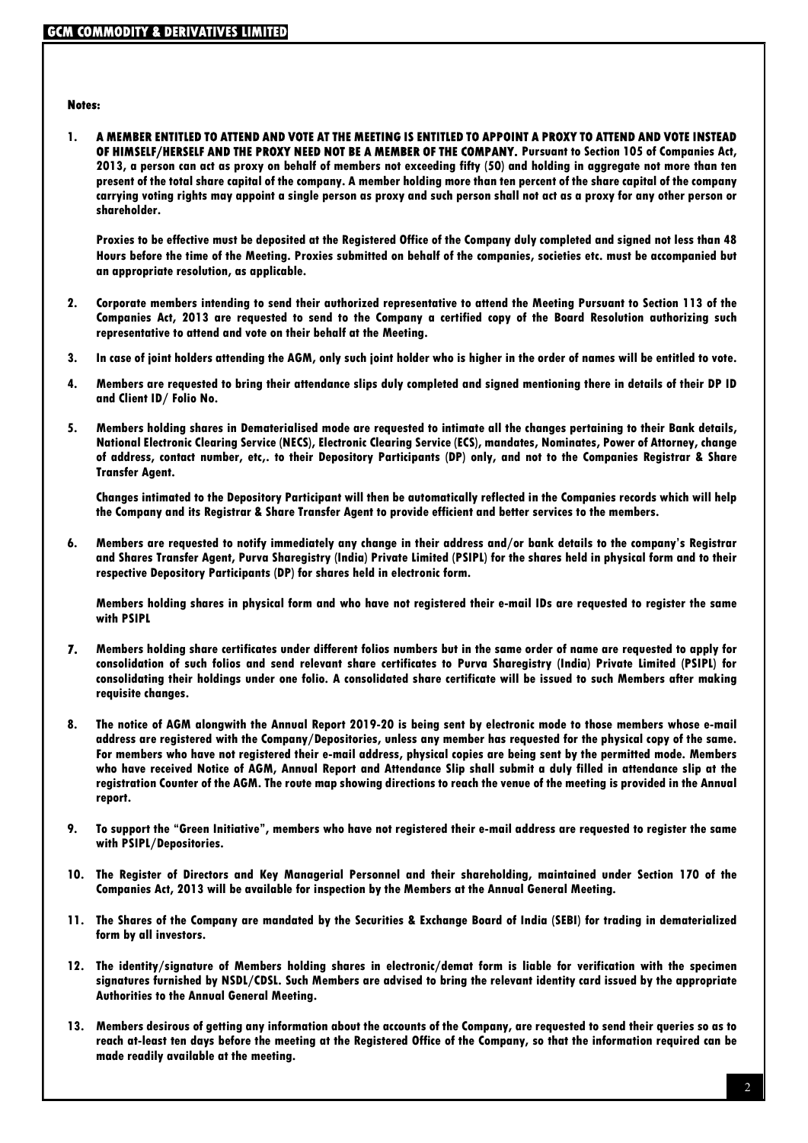#### Notes:

1. A MEMBER ENTITLED TO ATTEND AND VOTE AT THE MEETING IS ENTITLED TO APPOINT A PROXY TO ATTEND AND VOTE INSTEAD OF HIMSELF/HERSELF AND THE PROXY NEED NOT BE A MEMBER OF THE COMPANY. Pursuant to Section 105 of Companies Act, 2013, a person can act as proxy on behalf of members not exceeding fifty (50) and holding in aggregate not more than ten present of the total share capital of the company. A member holding more than ten percent of the share capital of the company carrying voting rights may appoint a single person as proxy and such person shall not act as a proxy for any other person or shareholder.

Proxies to be effective must be deposited at the Registered Office of the Company duly completed and signed not less than 48 Hours before the time of the Meeting. Proxies submitted on behalf of the companies, societies etc. must be accompanied but an appropriate resolution, as applicable.

- 2. Corporate members intending to send their authorized representative to attend the Meeting Pursuant to Section 113 of the Companies Act, 2013 are requested to send to the Company a certified copy of the Board Resolution authorizing such representative to attend and vote on their behalf at the Meeting.
- 3. In case of joint holders attending the AGM, only such joint holder who is higher in the order of names will be entitled to vote.
- 4. Members are requested to bring their attendance slips duly completed and signed mentioning there in details of their DP ID and Client ID/ Folio No.
- 5. Members holding shares in Dematerialised mode are requested to intimate all the changes pertaining to their Bank details, National Electronic Clearing Service (NECS), Electronic Clearing Service (ECS), mandates, Nominates, Power of Attorney, change of address, contact number, etc,. to their Depository Participants (DP) only, and not to the Companies Registrar & Share Transfer Agent.

Changes intimated to the Depository Participant will then be automatically reflected in the Companies records which will help the Company and its Registrar & Share Transfer Agent to provide efficient and better services to the members.

6. Members are requested to notify immediately any change in their address and/or bank details to the company's Registrar and Shares Transfer Agent, Purva Sharegistry (India) Private Limited (PSIPL) for the shares held in physical form and to their respective Depository Participants (DP) for shares held in electronic form.

Members holding shares in physical form and who have not registered their e-mail IDs are requested to register the same with PSIPL

- 7. Members holding share certificates under different folios numbers but in the same order of name are requested to apply for consolidation of such folios and send relevant share certificates to Purva Sharegistry (India) Private Limited (PSIPL) for consolidating their holdings under one folio. A consolidated share certificate will be issued to such Members after making requisite changes.
- 8. The notice of AGM alongwith the Annual Report 2019-20 is being sent by electronic mode to those members whose e-mail address are registered with the Company/Depositories, unless any member has requested for the physical copy of the same. For members who have not registered their e-mail address, physical copies are being sent by the permitted mode. Members who have received Notice of AGM, Annual Report and Attendance Slip shall submit a duly filled in attendance slip at the registration Counter of the AGM. The route map showing directions to reach the venue of the meeting is provided in the Annual report.
- 9. To support the "Green Initiative", members who have not registered their e-mail address are requested to register the same with PSIPL/Depositories.
- 10. The Register of Directors and Key Managerial Personnel and their shareholding, maintained under Section 170 of the Companies Act, 2013 will be available for inspection by the Members at the Annual General Meeting.
- 11. The Shares of the Company are mandated by the Securities & Exchange Board of India (SEBI) for trading in dematerialized form by all investors.
- 12. The identity/signature of Members holding shares in electronic/demat form is liable for verification with the specimen signatures furnished by NSDL/CDSL. Such Members are advised to bring the relevant identity card issued by the appropriate Authorities to the Annual General Meeting.
- 13. Members desirous of getting any information about the accounts of the Company, are requested to send their queries so as to reach at-least ten days before the meeting at the Registered Office of the Company, so that the information required can be made readily available at the meeting.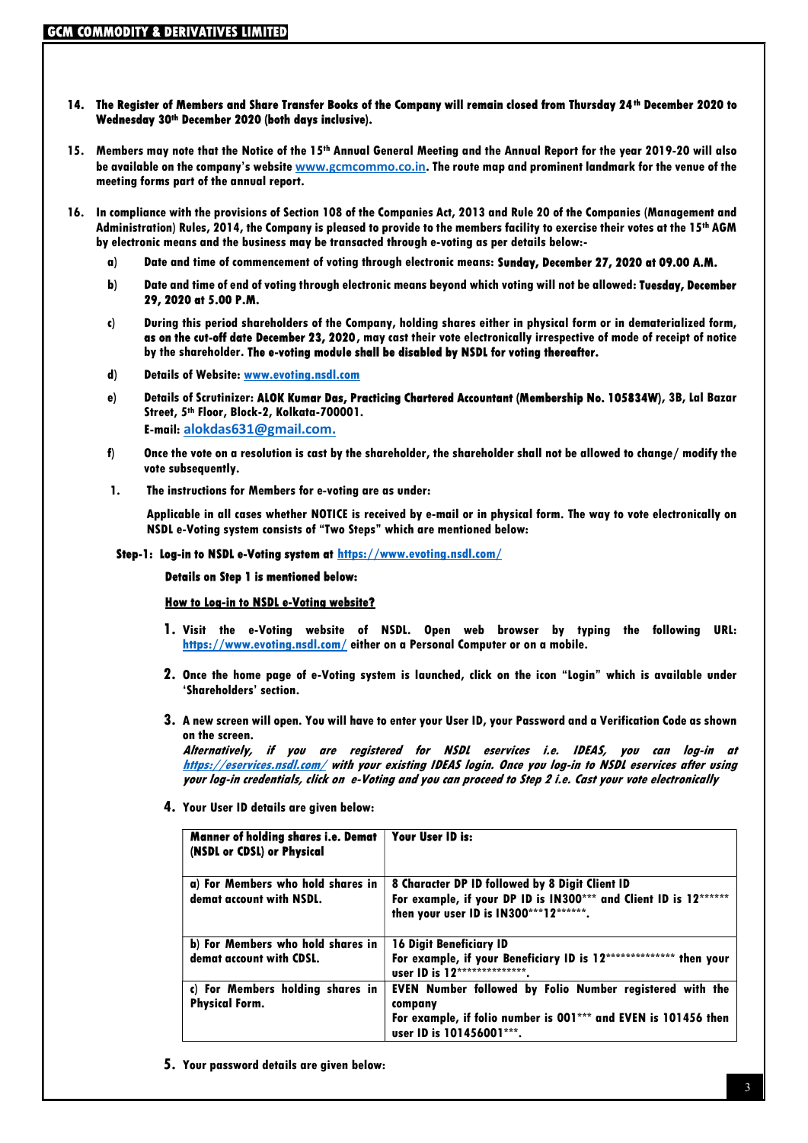#### 14. The Register of Members and Share Transfer Books of the Company will remain closed from Thursday 24th December 2020 to Wednesday 30th December 2020 (both days inclusive).

- 15. Members may note that the Notice of the 15th Annual General Meeting and the Annual Report for the year 2019-20 will also be available on the company's website www.gcmcommo.co.in. The route map and prominent landmark for the venue of the meeting forms part of the annual report.
- 16. In compliance with the provisions of Section 108 of the Companies Act, 2013 and Rule 20 of the Companies (Management and Administration) Rules, 2014, the Company is pleased to provide to the members facility to exercise their votes at the 15th AGM by electronic means and the business may be transacted through e-voting as per details below:
	- a) Date and time of commencement of voting through electronic means: Sunday, December 27, 2020 at 09.00 A.M.
	- b) Date and time of end of voting through electronic means beyond which voting will not be allowed: Tuesday, December 29, 2020 at 5.00 P.M.
	- c) During this period shareholders of the Company, holding shares either in physical form or in dematerialized form, as on the cut-off date December 23, 2020, may cast their vote electronically irrespective of mode of receipt of notice by the shareholder. The e-voting module shall be disabled by NSDL for voting thereafter.
	- d) Details of Website: www.evoting.nsdl.com
	- e) Details of Scrutinizer: ALOK Kumar Das, Practicing Chartered Accountant (Membership No. 105834W), 3B, Lal Bazar Street, 5<sup>th</sup> Floor, Block-2, Kolkata-700001. E-mail: alokdas631@gmail.com.
	- f) Once the vote on a resolution is cast by the shareholder, the shareholder shall not be allowed to change/ modify the vote subsequently.
	- 1. The instructions for Members for e-voting are as under:

Applicable in all cases whether NOTICE is received by e-mail or in physical form. The way to vote electronically on NSDL e-Voting system consists of "Two Steps" which are mentioned below:

Step-1: Log-in to NSDL e-Voting system at https://www.evoting.nsdl.com/

#### Details on Step 1 is mentioned below:

#### How to Log-in to NSDL e-Voting website?

- 1. Visit the e-Voting website of NSDL. Open web browser by typing the following URL: https://www.evoting.nsdl.com/ either on a Personal Computer or on a mobile.
- 2. Once the home page of e-Voting system is launched, click on the icon "Login" which is available under 'Shareholders' section.
- 3. A new screen will open. You will have to enter your User ID, your Password and a Verification Code as shown on the screen.

Alternatively, if you are registered for NSDL eservices i.e. IDEAS, you can log-in at https://eservices.nsdl.com/ with your existing IDEAS login. Once you log-in to NSDL eservices after using your log-in credentials, click on e-Voting and you can proceed to Step 2 i.e. Cast your vote electronically

4. Your User ID details are given below:

| <b>Manner of holding shares i.e. Demat</b><br>(NSDL or CDSL) or Physical | Your User ID is:                                                                                            |
|--------------------------------------------------------------------------|-------------------------------------------------------------------------------------------------------------|
| a) For Members who hold shares in<br>demat account with NSDL.            | 8 Character DP ID followed by 8 Digit Client ID                                                             |
|                                                                          | For example, if your DP ID is IN300*** and Client ID is 12******<br>then your user ID is IN300***12*******. |
| b) For Members who hold shares in                                        | <b>16 Digit Beneficiary ID</b>                                                                              |
| demat account with CDSL.                                                 | For example, if your Beneficiary ID is 12*************** then your<br>user ID is 12**************           |
| c) For Members holding shares in<br><b>Physical Form.</b>                | EVEN Number followed by Folio Number registered with the<br>company                                         |
|                                                                          | For example, if folio number is 001*** and EVEN is 101456 then<br>user ID is 101456001***.                  |

5. Your password details are given below: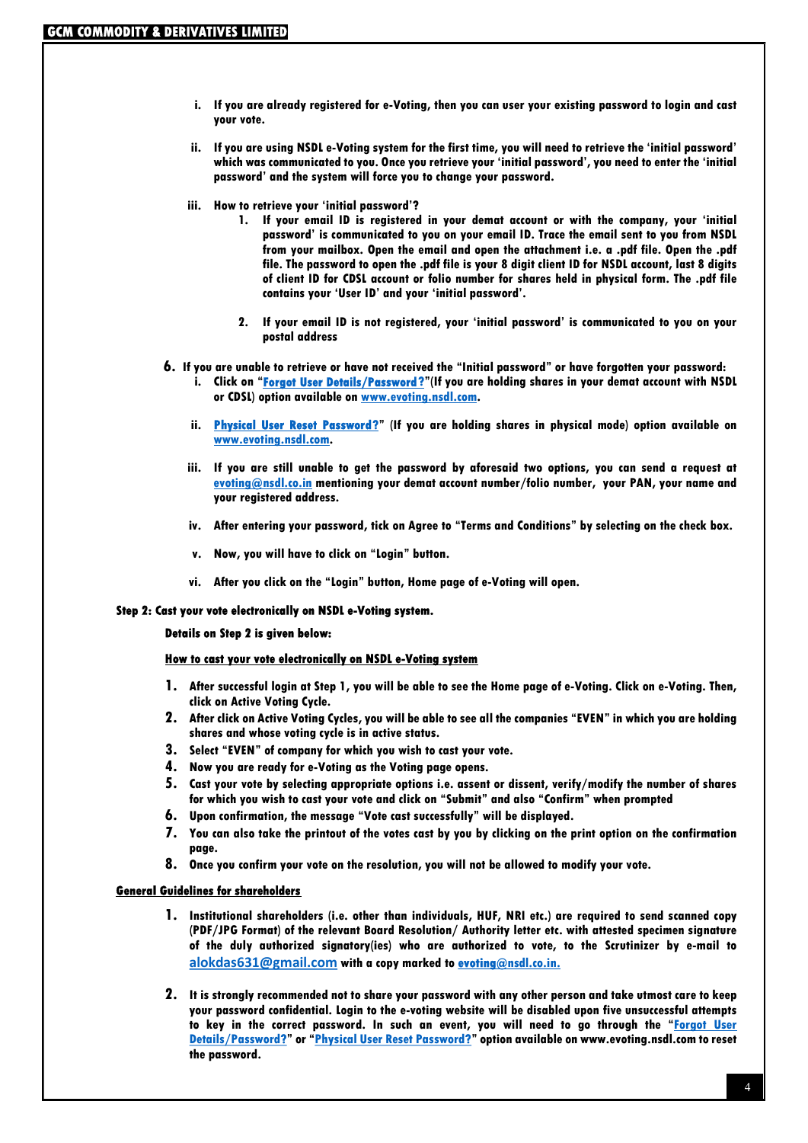- i. If you are already registered for e-Voting, then you can user your existing password to login and cast your vote.
- ii. If you are using NSDL e-Voting system for the first time, you will need to retrieve the 'initial password' which was communicated to you. Once you retrieve your 'initial password', you need to enter the 'initial password' and the system will force you to change your password.
- iii. How to retrieve your 'initial password'?
	- 1. If your email ID is registered in your demat account or with the company, your 'initial password' is communicated to you on your email ID. Trace the email sent to you from NSDL from your mailbox. Open the email and open the attachment i.e. a .pdf file. Open the .pdf file. The password to open the .pdf file is your 8 digit client ID for NSDL account, last 8 digits of client ID for CDSL account or folio number for shares held in physical form. The .pdf file contains your 'User ID' and your 'initial password'.
	- 2. If your email ID is not registered, your 'initial password' is communicated to you on your postal address

#### 6. If you are unable to retrieve or have not received the "Initial password" or have forgotten your password:

- i. Click on "Forgot User Details/Password?"(If you are holding shares in your demat account with NSDL or CDSL) option available on www.evoting.nsdl.com.
- ii. Physical User Reset Password?" (If you are holding shares in physical mode) option available on www.evoting.nsdl.com.
- iii. If you are still unable to get the password by aforesaid two options, you can send a request at evoting@nsdl.co.in mentioning your demat account number/folio number, your PAN, your name and your registered address.
- iv. After entering your password, tick on Agree to "Terms and Conditions" by selecting on the check box.
- v. Now, you will have to click on "Login" button.
- vi. After you click on the "Login" button, Home page of e-Voting will open.

#### Step 2: Cast your vote electronically on NSDL e-Voting system.

#### Details on Step 2 is given below:

#### How to cast your vote electronically on NSDL e-Voting system

- 1. After successful login at Step 1, you will be able to see the Home page of e-Voting. Click on e-Voting. Then, click on Active Voting Cycle.
- 2. After click on Active Voting Cycles, you will be able to see all the companies "EVEN" in which you are holding shares and whose voting cycle is in active status.
- 3. Select "EVEN" of company for which you wish to cast your vote.
- 4. Now you are ready for e-Voting as the Voting page opens.
- 5. Cast your vote by selecting appropriate options i.e. assent or dissent, verify/modify the number of shares for which you wish to cast your vote and click on "Submit" and also "Confirm" when prompted
- 6. Upon confirmation, the message "Vote cast successfully" will be displayed.
- 7. You can also take the printout of the votes cast by you by clicking on the print option on the confirmation page.
- 8. Once you confirm your vote on the resolution, you will not be allowed to modify your vote.

#### General Guidelines for shareholders

- 1. Institutional shareholders (i.e. other than individuals, HUF, NRI etc.) are required to send scanned copy (PDF/JPG Format) of the relevant Board Resolution/ Authority letter etc. with attested specimen signature of the duly authorized signatory(ies) who are authorized to vote, to the Scrutinizer by e-mail to alokdas631@gmail.com with a copy marked to evoting@nsdl.co.in.
- 2. It is strongly recommended not to share your password with any other person and take utmost care to keep your password confidential. Login to the e-voting website will be disabled upon five unsuccessful attempts to key in the correct password. In such an event, you will need to go through the "Forgot User Details/Password?" or "Physical User Reset Password?" option available on www.evoting.nsdl.com to reset the password.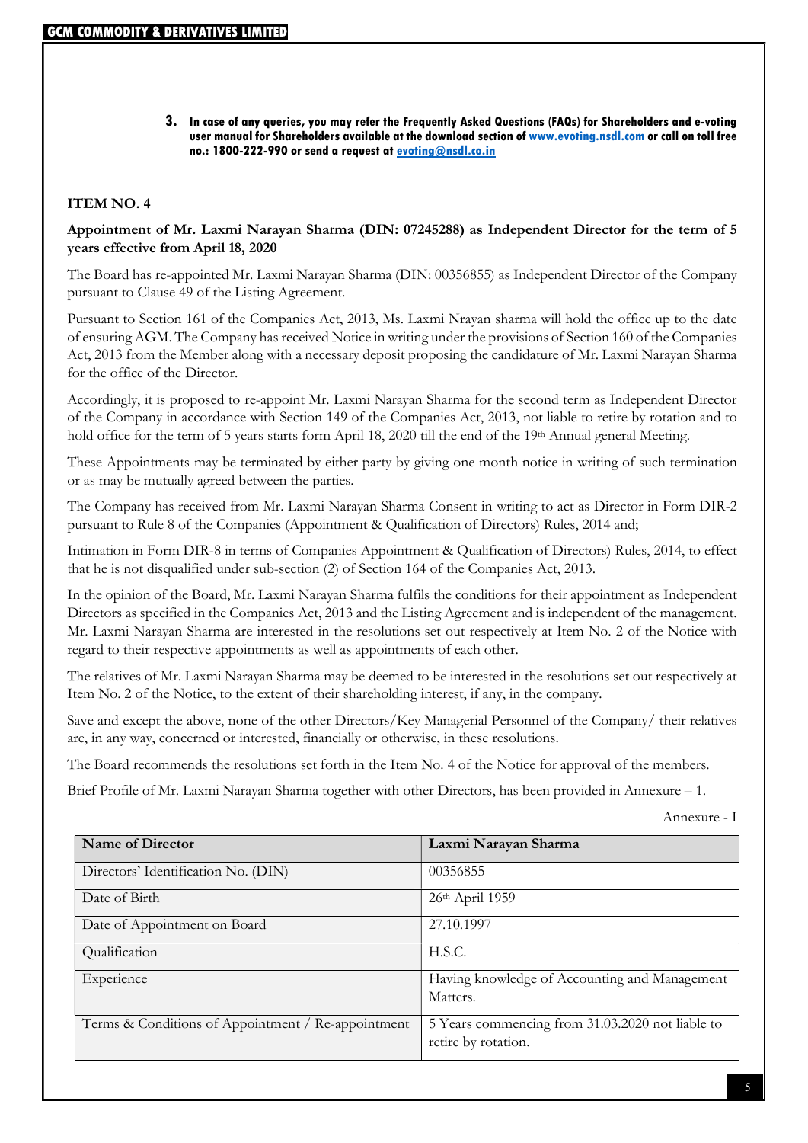#### 3. In case of any queries, you may refer the Frequently Asked Questions (FAQs) for Shareholders and e-voting user manual for Shareholders available at the download section of www.evoting.nsdl.com or call on toll free no.: 1800-222-990 or send a request at evoting@nsdl.co.in

### ITEM NO. 4

#### Appointment of Mr. Laxmi Narayan Sharma (DIN: 07245288) as Independent Director for the term of 5 years effective from April 18, 2020

The Board has re-appointed Mr. Laxmi Narayan Sharma (DIN: 00356855) as Independent Director of the Company pursuant to Clause 49 of the Listing Agreement.

Pursuant to Section 161 of the Companies Act, 2013, Ms. Laxmi Nrayan sharma will hold the office up to the date of ensuring AGM. The Company has received Notice in writing under the provisions of Section 160 of the Companies Act, 2013 from the Member along with a necessary deposit proposing the candidature of Mr. Laxmi Narayan Sharma for the office of the Director.

Accordingly, it is proposed to re-appoint Mr. Laxmi Narayan Sharma for the second term as Independent Director of the Company in accordance with Section 149 of the Companies Act, 2013, not liable to retire by rotation and to hold office for the term of 5 years starts form April 18, 2020 till the end of the 19<sup>th</sup> Annual general Meeting.

These Appointments may be terminated by either party by giving one month notice in writing of such termination or as may be mutually agreed between the parties.

The Company has received from Mr. Laxmi Narayan Sharma Consent in writing to act as Director in Form DIR-2 pursuant to Rule 8 of the Companies (Appointment & Qualification of Directors) Rules, 2014 and;

Intimation in Form DIR-8 in terms of Companies Appointment & Qualification of Directors) Rules, 2014, to effect that he is not disqualified under sub-section (2) of Section 164 of the Companies Act, 2013.

In the opinion of the Board, Mr. Laxmi Narayan Sharma fulfils the conditions for their appointment as Independent Directors as specified in the Companies Act, 2013 and the Listing Agreement and is independent of the management. Mr. Laxmi Narayan Sharma are interested in the resolutions set out respectively at Item No. 2 of the Notice with regard to their respective appointments as well as appointments of each other.

The relatives of Mr. Laxmi Narayan Sharma may be deemed to be interested in the resolutions set out respectively at Item No. 2 of the Notice, to the extent of their shareholding interest, if any, in the company.

Save and except the above, none of the other Directors/Key Managerial Personnel of the Company/ their relatives are, in any way, concerned or interested, financially or otherwise, in these resolutions.

The Board recommends the resolutions set forth in the Item No. 4 of the Notice for approval of the members.

Brief Profile of Mr. Laxmi Narayan Sharma together with other Directors, has been provided in Annexure – 1.

Annexure - I

| <b>Name of Director</b>                            | Laxmi Narayan Sharma                                                    |
|----------------------------------------------------|-------------------------------------------------------------------------|
| Directors' Identification No. (DIN)                | 00356855                                                                |
| Date of Birth                                      | $26th$ April 1959                                                       |
| Date of Appointment on Board                       | 27.10.1997                                                              |
| Qualification                                      | H.S.C.                                                                  |
| Experience                                         | Having knowledge of Accounting and Management<br>Matters.               |
| Terms & Conditions of Appointment / Re-appointment | 5 Years commencing from 31.03.2020 not liable to<br>retire by rotation. |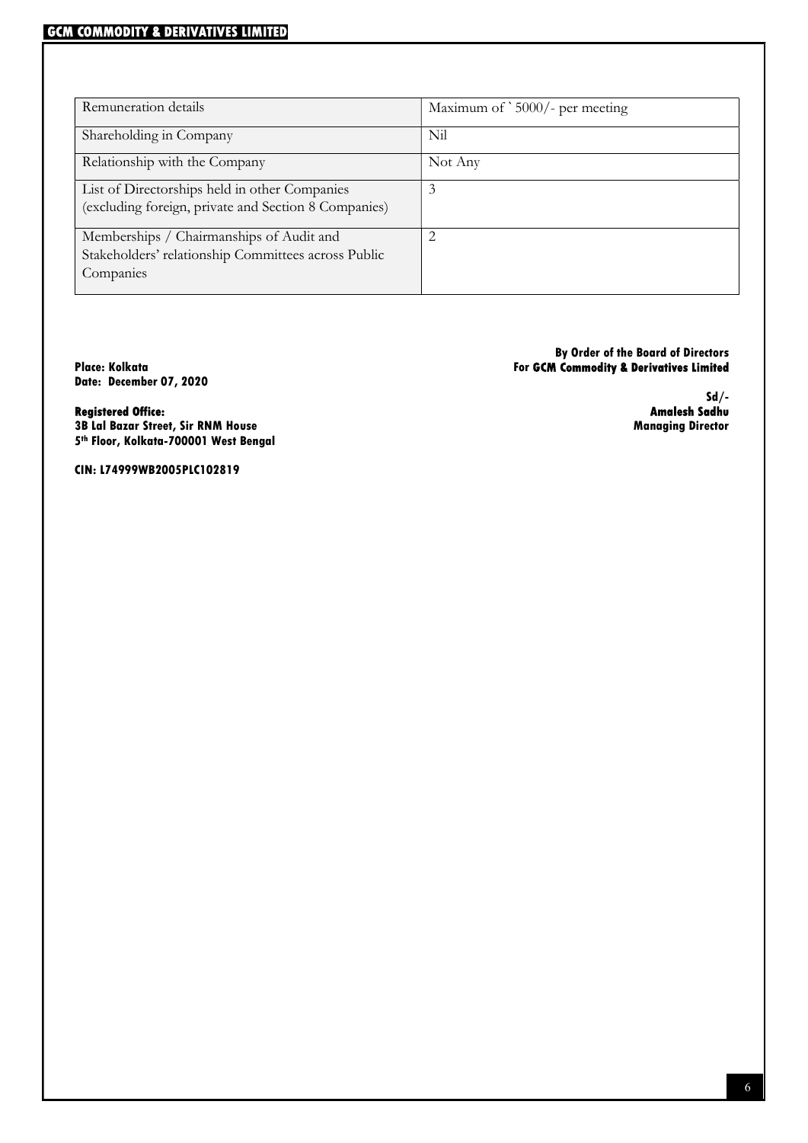| Remuneration details                                                                                         | Maximum of `5000/- per meeting |
|--------------------------------------------------------------------------------------------------------------|--------------------------------|
| Shareholding in Company                                                                                      | Nil                            |
| Relationship with the Company                                                                                | Not Any                        |
| List of Directorships held in other Companies<br>(excluding foreign, private and Section 8 Companies)        | 3                              |
| Memberships / Chairmanships of Audit and<br>Stakeholders' relationship Committees across Public<br>Companies | 2                              |

Date: December 07, 2020

#### By Order of the Board of Directors Place: Kolkata For GCM Commodity & Derivatives Limited

-/Sd<br>**Amalesh Sadhu** 

Registered Office:<br>3B Lal Bazar Street, Sir RNM House تمام المستخدم المستخدم المستخدم المستخدم المستخدم المستخدم المستخدم المستخد<br>4 Managing Director 3B Lal Bazar Street, Sir RNM House 5 th Floor, Kolkata-700001 West Bengal

CIN: L74999WB2005PLC102819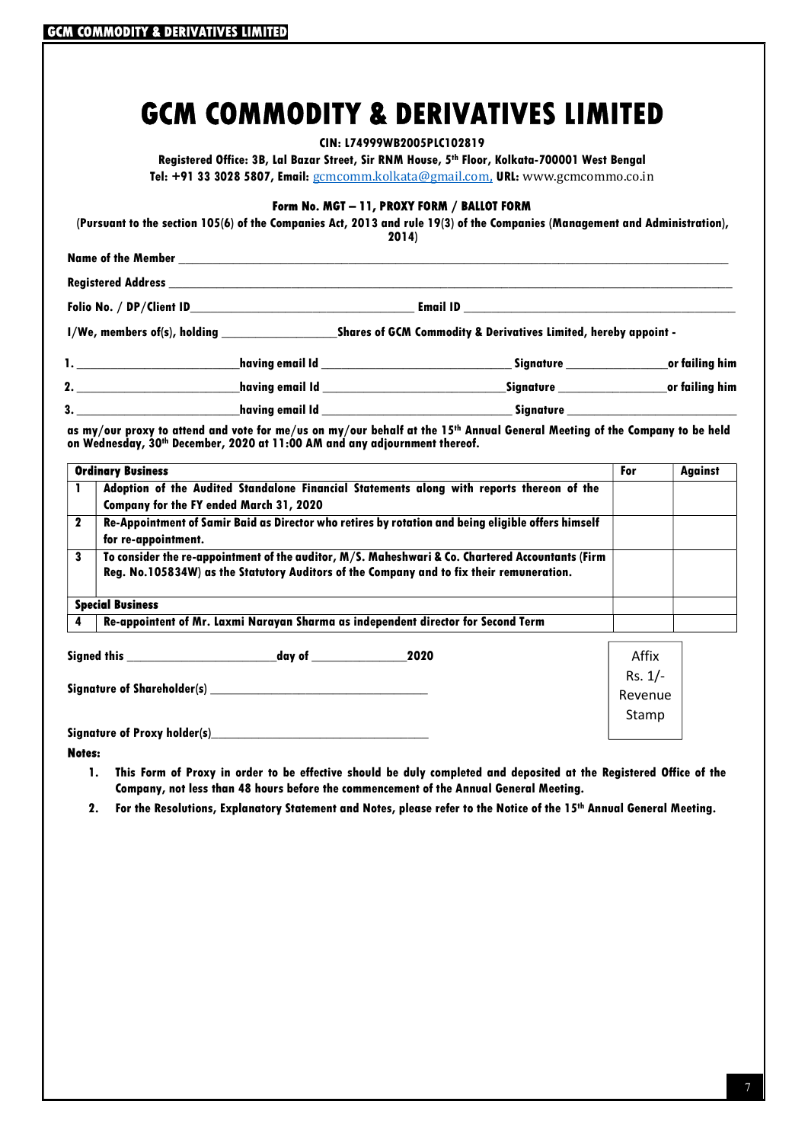|  | CIN: L74999WB2005PLC102819 |  |
|--|----------------------------|--|
|--|----------------------------|--|

Registered Office: 3B, Lal Bazar Street, Sir RNM House, 5th Floor, Kolkata-700001 West Bengal Tel: +91 33 3028 5807, Email: gcmcomm.kolkata@gmail.com, URL: www.gcmcommo.co.in

#### Form No. MGT – 11, PROXY FORM / BALLOT FORM

(Pursuant to the section 105(6) of the Companies Act, 2013 and rule 19(3) of the Companies (Management and Administration), 2014)

| <b>Name of the Member 2008 States and States and States and States and States and States and States and States and States and States and States and States and States and States and States and States and States and States and</b> |                                                                 |                                                   |  |
|--------------------------------------------------------------------------------------------------------------------------------------------------------------------------------------------------------------------------------------|-----------------------------------------------------------------|---------------------------------------------------|--|
|                                                                                                                                                                                                                                      |                                                                 |                                                   |  |
|                                                                                                                                                                                                                                      |                                                                 |                                                   |  |
|                                                                                                                                                                                                                                      | Shares of GCM Commodity & Derivatives Limited, hereby appoint - |                                                   |  |
|                                                                                                                                                                                                                                      |                                                                 | Signature _________________________or failing him |  |
| 2.                                                                                                                                                                                                                                   |                                                                 |                                                   |  |
|                                                                                                                                                                                                                                      | having email Id                                                 |                                                   |  |

as my/our proxy to attend and vote for me/us on my/our behalf at the 15<sup>th</sup> Annual General Meeting of the Company to be held on Wednesday, 30th December, 2020 at 11:00 AM and any adjournment thereof.

|                                                          | <b>Ordinary Business</b>                                                                                                                                                                                                                                                                                                       | For     | <b>Against</b> |
|----------------------------------------------------------|--------------------------------------------------------------------------------------------------------------------------------------------------------------------------------------------------------------------------------------------------------------------------------------------------------------------------------|---------|----------------|
|                                                          | Adoption of the Audited Standalone Financial Statements along with reports thereon of the<br><b>Company for the FY ended March 31, 2020</b>                                                                                                                                                                                    |         |                |
| $\mathbf 2$                                              | Re-Appointment of Samir Baid as Director who retires by rotation and being eligible offers himself<br>for re-appointment.<br>To consider the re-appointment of the auditor, M/S. Maheshwari & Co. Chartered Accountants (Firm<br>3<br>Reg. No.105834W) as the Statutory Auditors of the Company and to fix their remuneration. |         |                |
|                                                          |                                                                                                                                                                                                                                                                                                                                |         |                |
|                                                          | <b>Special Business</b>                                                                                                                                                                                                                                                                                                        |         |                |
|                                                          | Re-appointent of Mr. Laxmi Narayan Sharma as independent director for Second Term                                                                                                                                                                                                                                              |         |                |
|                                                          | 2020                                                                                                                                                                                                                                                                                                                           | Affix   |                |
|                                                          |                                                                                                                                                                                                                                                                                                                                |         |                |
| Signature of Shareholder(s) Signature of Shareholder (s) |                                                                                                                                                                                                                                                                                                                                | Revenue |                |

Signature of Proxy holder(s)\_

Notes:

1. This Form of Proxy in order to be effective should be duly completed and deposited at the Registered Office of the Company, not less than 48 hours before the commencement of the Annual General Meeting.

2. For the Resolutions, Explanatory Statement and Notes, please refer to the Notice of the 15th Annual General Meeting.

Stamp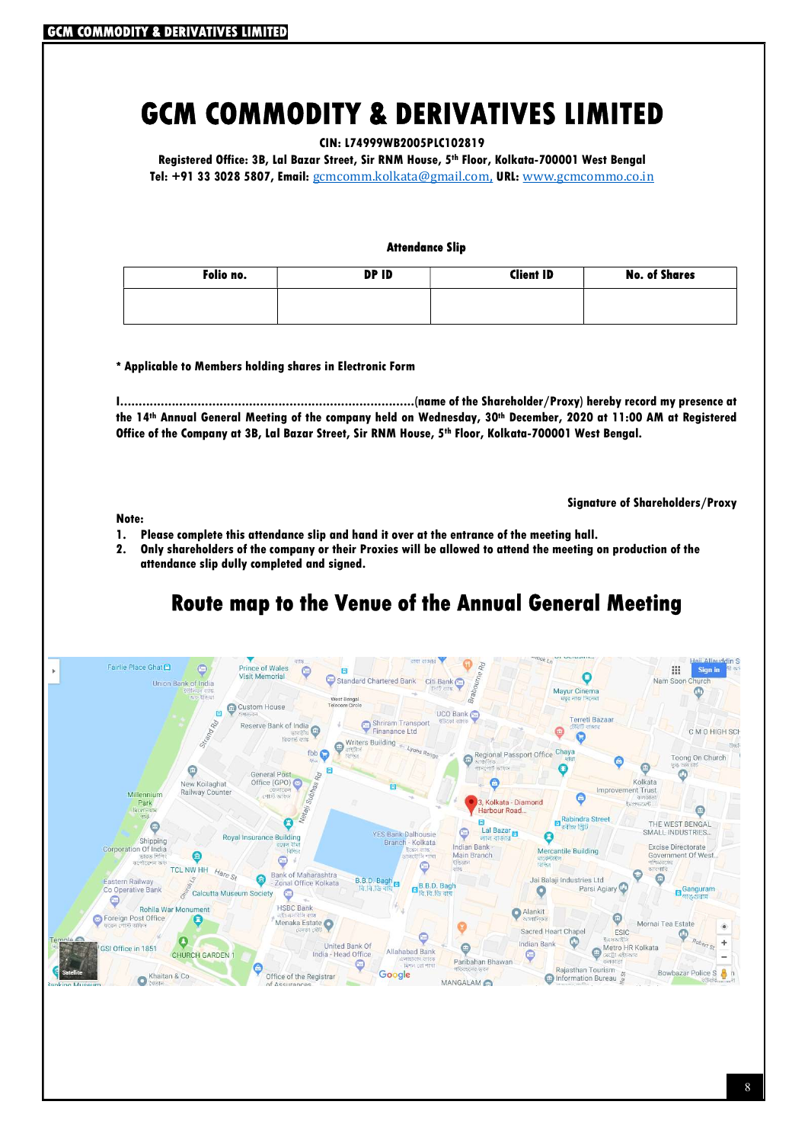CIN: L74999WB2005PLC102819

Registered Office: 3B, Lal Bazar Street, Sir RNM House, 5th Floor, Kolkata-700001 West Bengal Tel: +91 33 3028 5807, Email: gcmcomm.kolkata@gmail.com, URL: www.gcmcommo.co.in

#### Attendance Slip

| Folio no. | DP ID | <b>Client ID</b> | <b>No. of Shares</b> |
|-----------|-------|------------------|----------------------|
|           |       |                  |                      |
|           |       |                  |                      |

\* Applicable to Members holding shares in Electronic Form

I................................................................................(name of the Shareholder/Proxy) hereby record my presence at the 14th Annual General Meeting of the company held on Wednesday, 30th December, 2020 at 11:00 AM at Registered Office of the Company at 3B, Lal Bazar Street, Sir RNM House, 5th Floor, Kolkata-700001 West Bengal.

Note:

Signature of Shareholders/Proxy

- 1. Please complete this attendance slip and hand it over at the entrance of the meeting hall.
- 2. Only shareholders of the company or their Proxies will be allowed to attend the meeting on production of the attendance slip dully completed and signed.

## Route map to the Venue of the Annual General Meeting